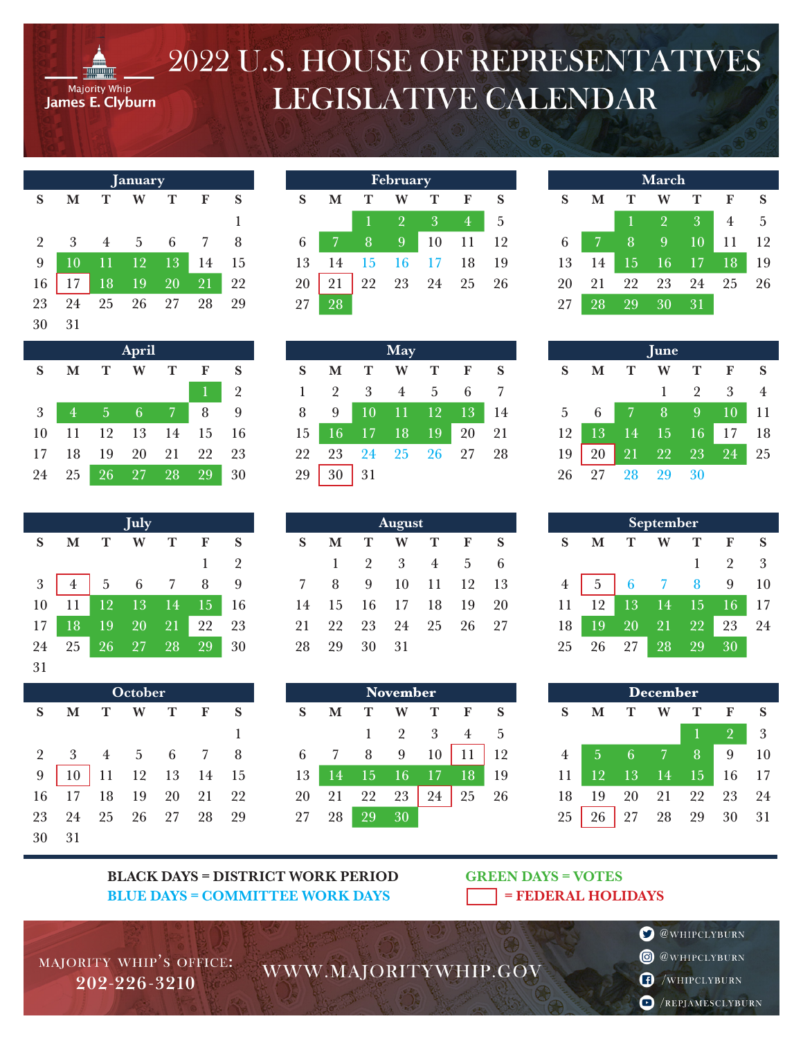

## 2022 U.S. HOUSE OF REPRESENTATIVES LEGISLATIVE CALENDAR

| January        |    |    |    |    |    |    |
|----------------|----|----|----|----|----|----|
| S              | М  | Т  | w  | т  | F  | S  |
|                |    |    |    |    |    | 1  |
| $\overline{2}$ | 3  | 4  | .5 | 6  |    | 8  |
| 9              | 10 | 11 | 12 | 13 | 14 | 15 |
| 16             | 17 | 18 | 19 | 20 | 21 | 22 |
| 23             | 24 | 25 | 26 | 27 | 28 | 29 |
| 30             | 31 |    |    |    |    |    |

| <b>April</b> |    |    |    |    |    |    |  |  |
|--------------|----|----|----|----|----|----|--|--|
| S            | М  | т  | w  | т  | F  | S  |  |  |
|              |    |    |    |    | 1  | 2  |  |  |
| 3            | 4  | 5  | 6  |    | 8  | 9  |  |  |
| 10           | 11 | 12 | 13 | 14 | 15 | 16 |  |  |
| 17           | 18 | 19 | 20 | 21 | 22 | 23 |  |  |
| 24           | 25 | 26 | 27 | 28 | 29 | 30 |  |  |

|            |    |    | <b>July</b> |    |    |                |
|------------|----|----|-------------|----|----|----------------|
| S          | м  | т  | W           | т  | F  | S              |
|            |    |    |             |    | 1  | $\overline{2}$ |
| $\sqrt{3}$ | 4  | 5  | 6           | 7  | 8  | 9              |
| 10         | 11 | 12 | 13          | 14 | 15 | 16             |
| 17         | 18 | 19 | 20          | 21 | 22 | 23             |
| 24         | 25 | 26 | 27          | 28 | 29 | 30             |
| 31         |    |    |             |    |    |                |

| October        |                 |                |                 |    |    |    |  |
|----------------|-----------------|----------------|-----------------|----|----|----|--|
| S              | M               | Т              | W               | т  | F  | S  |  |
|                |                 |                |                 |    |    | 1  |  |
| $\overline{2}$ | 3               | $\overline{4}$ | $5\phantom{.0}$ | 6  |    | 8  |  |
| 9              | 10 <sup>°</sup> | 11             | 12              | 13 | 14 | 15 |  |
| 16             | 17              | 18             | 19              | 20 | 21 | 22 |  |
| 23             | 24              | 25             | 26              | 27 | 28 | 29 |  |
| 30             | 31              |                |                 |    |    |    |  |

| <b>February</b> |    |    |                |    |    |    |  |
|-----------------|----|----|----------------|----|----|----|--|
| S               | М  | т  | W              | т  | F  | S  |  |
|                 |    | 1  | $\overline{2}$ | 3  | 4  | 5  |  |
| 6               |    | 8  | 9              | 10 | 11 | 12 |  |
| 13              | 14 | 15 | 16             | 17 | 18 | 19 |  |
| 20              |    | 22 | 23             | 24 | 25 | 26 |  |
| 27              | 28 |    |                |    |    |    |  |

|    |                |    | May            |               |               |    |
|----|----------------|----|----------------|---------------|---------------|----|
| S  | М              | т  | W              | т             | F             | S  |
| 1  | $\overline{2}$ | 3  | $\overline{4}$ | 5             | 6             |    |
| 8  | 9              | 10 | 11             | <sup>12</sup> | <sup>13</sup> | 14 |
| 15 | 16             | 17 | 18             | 19            | 20            | 21 |
| 22 | 23             | 24 | 25             | 26            | 27            | 28 |
| 29 | 30             | 31 |                |               |               |    |

**August** 

W

 $\overline{3}$ 

10

17

24

31

**November** W

 $\overline{2}$ 

9

16

23

30

 $\mathbf T$ 

 $\overline{4}$ 

11

18

25

 ${\bf T}$ 

3

10

17

24

 $\mathbf F$ 

 $\overline{5}$ 

12

19

26

 $\mathbf F$ 

 $\overline{4}$ 

11

18

25

 ${\bf S}$ 

 $\sqrt{6}$ 

13

20

27

 ${\bf S}$ 

 $\overline{5}$ 

12

19

26

 $\mathbf T$ 

2

9

16

23

30

 $\mathbf T$ 

 $\mathbf{1}$ 

8

15

22

29

 $\mathbf M$ 

 $\mathbf{1}$ 

8

15

22

29

 $\mathbf M$ 

 $\overline{7}$ 

14

21

28

 $S$ 

 $\overline{7}$ 

14

21

28

 ${\bf S}$ 

6

13

20

27

| <b>March</b> |    |    |                |    |    |    |  |  |
|--------------|----|----|----------------|----|----|----|--|--|
| S            | М  | т  | W              | т  | F  | S  |  |  |
|              |    |    | $\overline{2}$ | 3  | 4  | 5  |  |  |
| 6            |    | 8  | 9              | 10 | 11 | 12 |  |  |
| 13           | 14 | 15 | 16             | 17 | 18 | 19 |  |  |
| 20           | 21 | 22 | 23             | 24 | 25 | 26 |  |  |
| 27           | 28 | 29 | 30             | 31 |    |    |  |  |

| une |    |    |    |                |    |    |  |
|-----|----|----|----|----------------|----|----|--|
| S   | М  | т  | w  | т              | F  | S  |  |
|     |    |    | 1  | $\mathfrak{D}$ | 3  | 4  |  |
| 5   | 6  | 7  | 8  | 9              | 10 | 11 |  |
| 12  | 13 | 14 | 15 | 16             | 17 | 18 |  |
| 19  | 20 | 21 | 22 | 23             | 24 | 25 |  |
| 26  | 97 | 28 | 29 | 30             |    |    |  |

| September      |    |    |    |    |                |    |  |  |
|----------------|----|----|----|----|----------------|----|--|--|
| S              | М  | т  | W  | т  | F              | S  |  |  |
|                |    |    |    |    | $\overline{2}$ | 3  |  |  |
| $\overline{4}$ | 5  | 6  |    | 8  | 9              | 10 |  |  |
| 11             | 12 | 13 | 14 | 15 | 16             | 17 |  |  |
| 18             | 19 | 20 | 21 | 22 | 23             | 24 |  |  |
| 25             | 26 | 97 | 28 |    |                |    |  |  |

| <b>December</b> |    |    |    |    |                |    |  |
|-----------------|----|----|----|----|----------------|----|--|
| S               | М  |    | w  |    | F              | S  |  |
|                 |    |    |    |    | $\overline{2}$ | 3  |  |
| 4               | 5  | 6  |    | 8  | 9              | 10 |  |
| 11              | 12 | 13 | 14 | 15 | 16             | 17 |  |
| 18              | 19 | 20 | 21 | 22 | 23             | 24 |  |
| 25              | 26 | 27 | 28 | 29 | 30             | 31 |  |

## **BLACK DAYS = DISTRICT WORK PERIOD BLUE DAYS = COMMITTEE WORK DAYS**

**GREEN DAYS = VOTES** = FEDERAL HOLIDAYS

- **O** @WHIPCLYBURN
- **@** @WHIPCLYBURN
- WHIPCLYBURN
- REPJAMESCLYBURN

WWW.MAJORITYWHIP.GOV

MAJORITY WHIP'S OFFICE: 202-226-3210